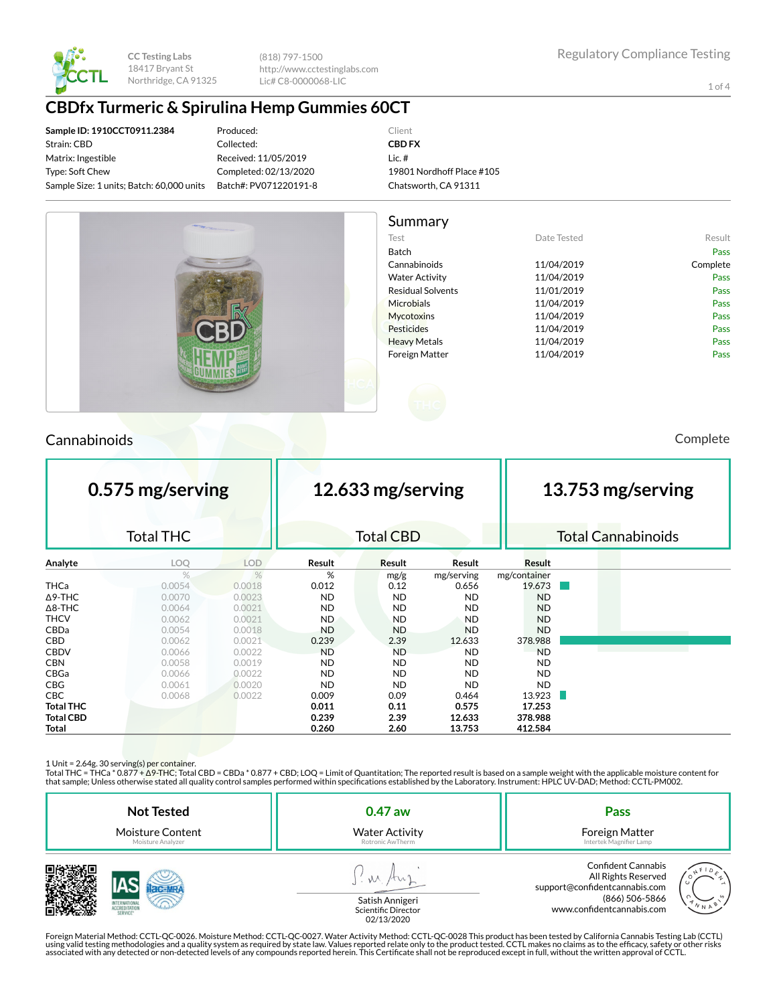

(818) 797-1500 http://www.cctestinglabs.com Lic# C8-0000068-LIC

1 of 4

## **CBDfx Turmeric & Spirulina Hemp Gummies 60CT**

**Sample ID: 1910CCT0911.2384** Strain: CBD Matrix: Ingestible Type: Soft Chew Sample Size: 1 units; Batch: 60,000 units

Produced: Collected: Received: 11/05/2019 Completed: 02/13/2020 Batch#: PV071220191-8

#### Client **CBD FX** Lic. # 19801 Nordhoff Place #105 Chatsworth, CA 91311



## Cannabinoids Complete

| 0.575 mg/serving |                  |            | 12.633 mg/serving |                  |            |               | 13.753 mg/serving |                           |  |
|------------------|------------------|------------|-------------------|------------------|------------|---------------|-------------------|---------------------------|--|
|                  | <b>Total THC</b> |            |                   | <b>Total CBD</b> |            |               |                   | <b>Total Cannabinoids</b> |  |
| Analyte          | LOQ              | <b>LOD</b> | Result            | <b>Result</b>    | Result     | <b>Result</b> |                   |                           |  |
|                  | $\%$             | %          | %                 | mg/g             | mg/serving | mg/container  |                   |                           |  |
| <b>THCa</b>      | 0.0054           | 0.0018     | 0.012             | 0.12             | 0.656      | 19.673        |                   |                           |  |
| $\Delta$ 9-THC   | 0.0070           | 0.0023     | <b>ND</b>         | <b>ND</b>        | <b>ND</b>  | <b>ND</b>     |                   |                           |  |
| $\Delta$ 8-THC   | 0.0064           | 0.0021     | <b>ND</b>         | <b>ND</b>        | <b>ND</b>  | <b>ND</b>     |                   |                           |  |
| <b>THCV</b>      | 0.0062           | 0.0021     | <b>ND</b>         | <b>ND</b>        | <b>ND</b>  | <b>ND</b>     |                   |                           |  |
| CBDa             | 0.0054           | 0.0018     | <b>ND</b>         | <b>ND</b>        | <b>ND</b>  | <b>ND</b>     |                   |                           |  |
| CBD              | 0.0062           | 0.0021     | 0.239             | 2.39             | 12.633     | 378.988       |                   |                           |  |
| <b>CBDV</b>      | 0.0066           | 0.0022     | <b>ND</b>         | <b>ND</b>        | <b>ND</b>  | <b>ND</b>     |                   |                           |  |
| <b>CBN</b>       | 0.0058           | 0.0019     | <b>ND</b>         | <b>ND</b>        | <b>ND</b>  | <b>ND</b>     |                   |                           |  |
| CBGa             | 0.0066           | 0.0022     | <b>ND</b>         | <b>ND</b>        | <b>ND</b>  | <b>ND</b>     |                   |                           |  |
| <b>CBG</b>       | 0.0061           | 0.0020     | <b>ND</b>         | <b>ND</b>        | <b>ND</b>  | <b>ND</b>     |                   |                           |  |
| CBC              | 0.0068           | 0.0022     | 0.009             | 0.09             | 0.464      | 13.923        |                   |                           |  |
| <b>Total THC</b> |                  |            | 0.011             | 0.11             | 0.575      | 17.253        |                   |                           |  |
| <b>Total CBD</b> |                  |            | 0.239             | 2.39             | 12.633     | 378.988       |                   |                           |  |
| Total            |                  |            | 0.260             | 2.60             | 13.753     | 412.584       |                   |                           |  |

1 Unit = 2.64g. 30 serving(s) per container.

Total THC = THCa \* 0.877 + ∆9-THC; Total CBD = CBDa \* 0.877 + CBD; LOQ = Limit of Quantitation; The reported result is based on a sample weight with the applicable moisture content for that sample; Unless otherwise stated all quality control samples performed within specifications established by the Laboratory. Instrument: HPLC UV-DAD; Method: CCTL-PM002.

| <b>Not Tested</b> | $0.47$ aw                              | Pass                                                                                                                                                      |
|-------------------|----------------------------------------|-----------------------------------------------------------------------------------------------------------------------------------------------------------|
| Moisture Content  | <b>Water Activity</b>                  | Foreign Matter                                                                                                                                            |
| Moisture Analyzer | Rotronic AwTherm                       | Intertek Magnifier Lamp                                                                                                                                   |
| SERVICE*          | Satish Annigeri<br>Scientific Director | <b>Confident Cannabis</b><br>All Rights Reserved<br>support@confidentcannabis.com<br>(866) 506-5866<br>$'N_{N}$ $\uparrow$ .<br>www.confidentcannabis.com |



Scientific Director<br>02/13/2020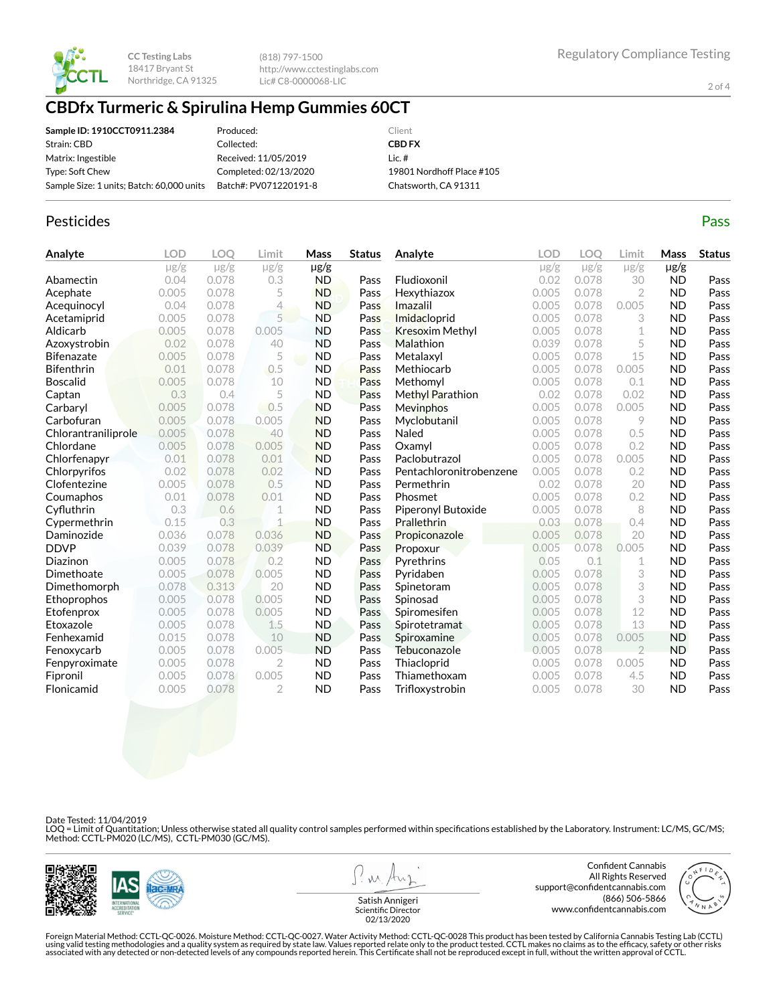

(818) 797-1500 http://www.cctestinglabs.com Lic# C8-0000068-LIC

2 of 4

## **CBDfx Turmeric & Spirulina Hemp Gummies 60CT**

| Sample ID: 1910CCT0911.2384               | Produced:             | Client                    |
|-------------------------------------------|-----------------------|---------------------------|
| Strain: CBD                               | Collected:            | <b>CBD FX</b>             |
| Matrix: Ingestible                        | Received: 11/05/2019  | $lic.$ #                  |
| Type: Soft Chew                           | Completed: 02/13/2020 | 19801 Nordhoff Place #105 |
| Sample Size: 1 units; Batch: 60,000 units | Batch#: PV071220191-8 | Chatsworth, CA 91311      |

#### Pesticides **Passage Contract Contract Contract Contract Contract Contract Contract Contract Contract Contract Contract Contract Contract Contract Contract Contract Contract Contract Contract Contract Contract Contract Cont**

| Analyte             | <b>LOD</b> | <b>LOO</b> | Limit          | Mass      | <b>Status</b> | Analyte                 | LOD       | LOO       | Limit          | Mass      | <b>Status</b> |
|---------------------|------------|------------|----------------|-----------|---------------|-------------------------|-----------|-----------|----------------|-----------|---------------|
|                     | $\mu$ g/g  | $\mu$ g/g  | $\mu$ g/g      | $\mu$ g/g |               |                         | $\mu$ g/g | $\mu$ g/g | $\mu$ g/g      | $\mu$ g/g |               |
| Abamectin           | 0.04       | 0.078      | 0.3            | <b>ND</b> | Pass          | Fludioxonil             | 0.02      | 0.078     | 30             | <b>ND</b> | Pass          |
| Acephate            | 0.005      | 0.078      | 5              | <b>ND</b> | Pass          | Hexythiazox             | 0.005     | 0.078     | 2              | <b>ND</b> | Pass          |
| Acequinocyl         | 0.04       | 0.078      | 4              | <b>ND</b> | Pass          | Imazalil                | 0.005     | 0.078     | 0.005          | <b>ND</b> | Pass          |
| Acetamiprid         | 0.005      | 0.078      | 5              | <b>ND</b> | Pass          | Imidacloprid            | 0.005     | 0.078     | 3              | <b>ND</b> | Pass          |
| Aldicarb            | 0.005      | 0.078      | 0.005          | <b>ND</b> | Pass          | <b>Kresoxim Methyl</b>  | 0.005     | 0.078     | 1              | <b>ND</b> | Pass          |
| Azoxystrobin        | 0.02       | 0.078      | 40             | <b>ND</b> | Pass          | Malathion               | 0.039     | 0.078     | 5              | <b>ND</b> | Pass          |
| <b>Bifenazate</b>   | 0.005      | 0.078      | 5              | <b>ND</b> | Pass          | Metalaxyl               | 0.005     | 0.078     | 15             | <b>ND</b> | Pass          |
| <b>Bifenthrin</b>   | 0.01       | 0.078      | 0.5            | <b>ND</b> | Pass          | Methiocarb              | 0.005     | 0.078     | 0.005          | <b>ND</b> | Pass          |
| <b>Boscalid</b>     | 0.005      | 0.078      | 10             | <b>ND</b> | Pass          | Methomyl                | 0.005     | 0.078     | 0.1            | <b>ND</b> | Pass          |
| Captan              | 0.3        | 0.4        | 5              | <b>ND</b> | Pass          | Methyl Parathion        | 0.02      | 0.078     | 0.02           | <b>ND</b> | Pass          |
| Carbaryl            | 0.005      | 0.078      | 0.5            | <b>ND</b> | Pass          | <b>Mevinphos</b>        | 0.005     | 0.078     | 0.005          | <b>ND</b> | Pass          |
| Carbofuran          | 0.005      | 0.078      | 0.005          | <b>ND</b> | Pass          | Myclobutanil            | 0.005     | 0.078     | 9              | <b>ND</b> | Pass          |
| Chlorantraniliprole | 0.005      | 0.078      | 40             | <b>ND</b> | Pass          | Naled                   | 0.005     | 0.078     | 0.5            | <b>ND</b> | Pass          |
| Chlordane           | 0.005      | 0.078      | 0.005          | <b>ND</b> | Pass          | Oxamyl                  | 0.005     | 0.078     | 0.2            | <b>ND</b> | Pass          |
| Chlorfenapyr        | 0.01       | 0.078      | 0.01           | <b>ND</b> | Pass          | Paclobutrazol           | 0.005     | 0.078     | 0.005          | <b>ND</b> | Pass          |
| Chlorpyrifos        | 0.02       | 0.078      | 0.02           | <b>ND</b> | Pass          | Pentachloronitrobenzene | 0.005     | 0.078     | 0.2            | <b>ND</b> | Pass          |
| Clofentezine        | 0.005      | 0.078      | 0.5            | <b>ND</b> | Pass          | Permethrin              | 0.02      | 0.078     | 20             | <b>ND</b> | Pass          |
| Coumaphos           | 0.01       | 0.078      | 0.01           | <b>ND</b> | Pass          | Phosmet                 | 0.005     | 0.078     | 0.2            | <b>ND</b> | Pass          |
| Cyfluthrin          | 0.3        | 0.6        | 1              | <b>ND</b> | Pass          | Piperonyl Butoxide      | 0.005     | 0.078     | 8              | <b>ND</b> | Pass          |
| Cypermethrin        | 0.15       | 0.3        | $\overline{1}$ | <b>ND</b> | Pass          | Prallethrin             | 0.03      | 0.078     | 0.4            | <b>ND</b> | Pass          |
| Daminozide          | 0.036      | 0.078      | 0.036          | <b>ND</b> | Pass          | Propiconazole           | 0.005     | 0.078     | 20             | <b>ND</b> | Pass          |
| <b>DDVP</b>         | 0.039      | 0.078      | 0.039          | <b>ND</b> | Pass          | Propoxur                | 0.005     | 0.078     | 0.005          | <b>ND</b> | Pass          |
| Diazinon            | 0.005      | 0.078      | 0.2            | <b>ND</b> | Pass          | Pyrethrins              | 0.05      | 0.1       | 1              | <b>ND</b> | Pass          |
| Dimethoate          | 0.005      | 0.078      | 0.005          | <b>ND</b> | Pass          | Pyridaben               | 0.005     | 0.078     | 3              | <b>ND</b> | Pass          |
| Dimethomorph        | 0.078      | 0.313      | 20             | <b>ND</b> | Pass          | Spinetoram              | 0.005     | 0.078     | 3              | <b>ND</b> | Pass          |
| Ethoprophos         | 0.005      | 0.078      | 0.005          | <b>ND</b> | Pass          | Spinosad                | 0.005     | 0.078     | 3              | <b>ND</b> | Pass          |
| Etofenprox          | 0.005      | 0.078      | 0.005          | <b>ND</b> | Pass          | Spiromesifen            | 0.005     | 0.078     | 12             | <b>ND</b> | Pass          |
| Etoxazole           | 0.005      | 0.078      | 1.5            | <b>ND</b> | Pass          | Spirotetramat           | 0.005     | 0.078     | 13             | <b>ND</b> | Pass          |
| Fenhexamid          | 0.015      | 0.078      | 10             | <b>ND</b> | Pass          | Spiroxamine             | 0.005     | 0.078     | 0.005          | <b>ND</b> | Pass          |
| Fenoxycarb          | 0.005      | 0.078      | 0.005          | <b>ND</b> | Pass          | Tebuconazole            | 0.005     | 0.078     | $\overline{2}$ | <b>ND</b> | Pass          |
| Fenpyroximate       | 0.005      | 0.078      | $\overline{2}$ | <b>ND</b> | Pass          | Thiacloprid             | 0.005     | 0.078     | 0.005          | <b>ND</b> | Pass          |
| Fipronil            | 0.005      | 0.078      | 0.005          | <b>ND</b> | Pass          | Thiamethoxam            | 0.005     | 0.078     | 4.5            | <b>ND</b> | Pass          |
| Flonicamid          | 0.005      | 0.078      | 2              | <b>ND</b> | Pass          | Trifloxystrobin         | 0.005     | 0.078     | 30             | <b>ND</b> | Pass          |

Date Tested: 11/04/2019

LOQ = Limit of Quantitation; Unless otherwise stated all quality control samples performed within specifications established by the Laboratory. Instrument: LC/MS, GC/MS;<br>Method: CCTL-PM020 (LC/MS), CCTL-PM030 (GC/MS).



**W** 

Confident Cannabis All Rights Reserved support@confidentcannabis.com (866) 506-5866 www.confidentcannabis.com



Satish Annigeri Scientific Director 02/13/2020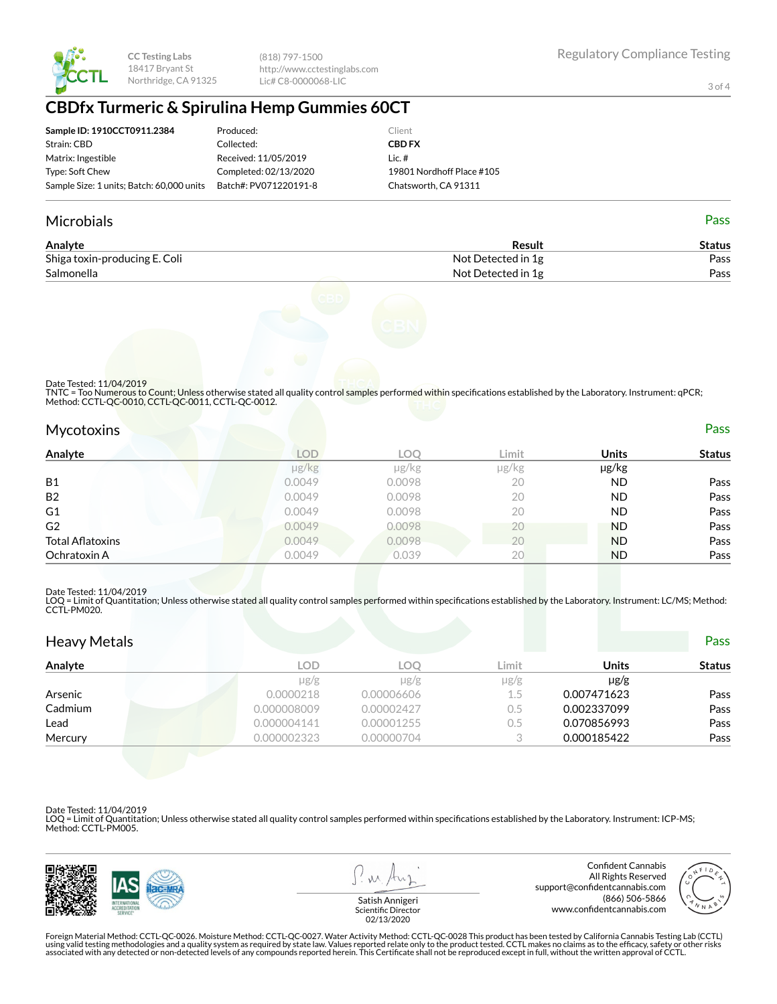

(818) 797-1500 http://www.cctestinglabs.com Lic# C8-0000068-LIC

3 of 4

## **CBDfx Turmeric & Spirulina Hemp Gummies 60CT**

| Sample ID: 1910CCT0911.2384               | Produced:             | Client                    |
|-------------------------------------------|-----------------------|---------------------------|
| Strain: CBD                               | Collected:            | <b>CBD FX</b>             |
| Matrix: Ingestible                        | Received: 11/05/2019  | Lic. $#$                  |
| Type: Soft Chew                           | Completed: 02/13/2020 | 19801 Nordhoff Place #105 |
| Sample Size: 1 units; Batch: 60,000 units | Batch#: PV071220191-8 | Chatsworth, CA 91311      |

#### Microbials Pass

| Analyte                       | Result             | Status |
|-------------------------------|--------------------|--------|
| Shiga toxin-producing E. Coli | Not Detected in 1g | Pass   |
| Salmonella                    | Not Detected in 1g | Pass   |



#### Date Tested: 11/04/2019

TNTC = Too Numerous to Count; Unless otherwise stated all quality control samples performed within specifications established by the Laboratory. Instrument: qPCR; Method: CCTL-QC-0010, CCTL-QC-0011, CCTL-QC-0012.

| <b>Mycotoxins</b>       |                      |        |       |              | <b>Pass</b>   |
|-------------------------|----------------------|--------|-------|--------------|---------------|
| Analyte                 | LOD                  | LOQ    | Limit | <b>Units</b> | <b>Status</b> |
|                         | $\mu$ g/ $\text{kg}$ | µg/kg  | µg/kg | µg/kg        |               |
| <b>B1</b>               | 0.0049               | 0.0098 | 20    | ND           | Pass          |
| <b>B2</b>               | 0.0049               | 0.0098 | 20    | ND.          | Pass          |
| G1                      | 0.0049               | 0.0098 | 20    | ND.          | Pass          |
| G <sub>2</sub>          | 0.0049               | 0.0098 | 20    | <b>ND</b>    | Pass          |
| <b>Total Aflatoxins</b> | 0.0049               | 0.0098 | 20    | <b>ND</b>    | Pass          |
| Ochratoxin A            | 0.0049               | 0.039  | 20    | <b>ND</b>    | Pass          |

#### Date Tested: 11/04/2019

LOQ = Limit of Quantitation; Unless otherwise stated all quality control samples performed within specifications established by the Laboratory. Instrument: LC/MS; Method:<br>CCTL-PM020.

| <b>Heavy Metals</b> |             |            |           |              | <b>Pass</b>   |
|---------------------|-------------|------------|-----------|--------------|---------------|
| Analyte             | <b>LOD</b>  | <b>LOO</b> | Limit     | <b>Units</b> | <b>Status</b> |
|                     | $\mu$ g/g   | $\mu$ g/g  | $\mu$ g/g | $\mu$ g/g    |               |
| Arsenic             | 0.0000218   | 0.00006606 | 1.5       | 0.007471623  | Pass          |
| Cadmium             | 0.000008009 | 0.00002427 | 0.5       | 0.002337099  | Pass          |
| Lead                | 0.000004141 | 0.00001255 | 0.5       | 0.070856993  | Pass          |
| Mercury             | 0.000002323 | 0.00000704 | 3         | 0.000185422  | Pass          |

Date Tested: 11/04/2019

LOQ = Limit of Quantitation; Unless otherwise stated all quality control samples performed within specifications established by the Laboratory. Instrument: ICP-MS; Method: CCTL-PM005.



 $\lambda$ 

Confident Cannabis All Rights Reserved support@confidentcannabis.com (866) 506-5866 www.confidentcannabis.com



Satish Annigeri Scientific Director 02/13/2020